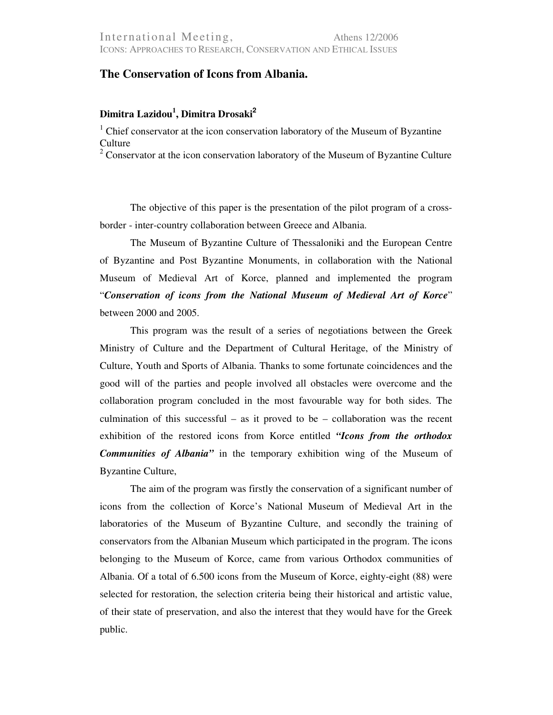## **The Conservation of Icons from Albania.**

## **Dimitra Lazidou<sup>1</sup> , Dimitra Drosaki<sup>2</sup>**

<sup>1</sup> Chief conservator at the icon conservation laboratory of the Museum of Byzantine Culture

 $2^2$  Conservator at the icon conservation laboratory of the Museum of Byzantine Culture

The objective of this paper is the presentation of the pilot program of a crossborder - inter-country collaboration between Greece and Albania.

The Museum of Byzantine Culture of Thessaloniki and the European Centre of Byzantine and Post Byzantine Monuments, in collaboration with the National Museum of Medieval Art of Korce, planned and implemented the program "*Conservation of icons from the National Museum of Medieval Art of Korce*" between 2000 and 2005.

This program was the result of a series of negotiations between the Greek Ministry of Culture and the Department of Cultural Heritage, of the Ministry of Culture, Youth and Sports of Albania. Thanks to some fortunate coincidences and the good will of the parties and people involved all obstacles were overcome and the collaboration program concluded in the most favourable way for both sides. The culmination of this successful – as it proved to be – collaboration was the recent exhibition of the restored icons from Korce entitled *"Icons from the orthodox Communities of Albania"* in the temporary exhibition wing of the Museum of Byzantine Culture,

The aim of the program was firstly the conservation of a significant number of icons from the collection of Korce's National Museum of Medieval Art in the laboratories of the Museum of Byzantine Culture, and secondly the training of conservators from the Albanian Museum which participated in the program. The icons belonging to the Museum of Korce, came from various Orthodox communities of Albania. Of a total of 6.500 icons from the Museum of Korce, eighty-eight (88) were selected for restoration, the selection criteria being their historical and artistic value, of their state of preservation, and also the interest that they would have for the Greek public.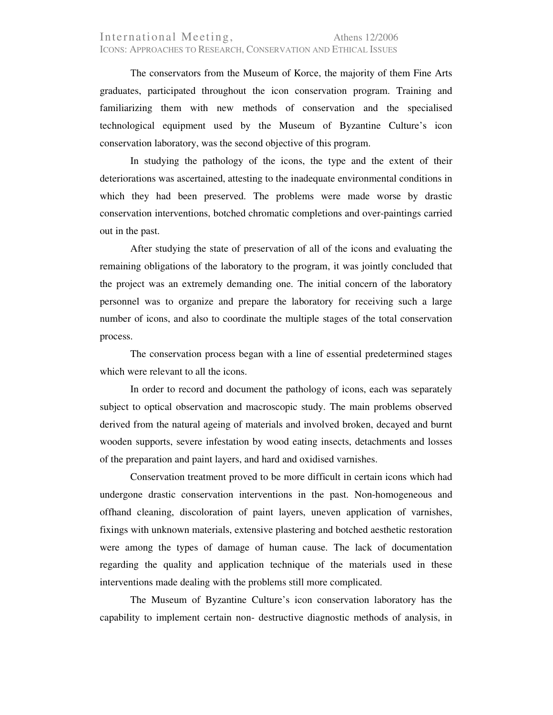## International Meeting, Athens 12/2006 ICONS: APPROACHES TO RESEARCH, CONSERVATION AND ETHICAL ISSUES

Τhe conservators from the Museum of Korce, the majority of them Fine Arts graduates, participated throughout the icon conservation program. Training and familiarizing them with new methods of conservation and the specialised technological equipment used by the Museum of Byzantine Culture's icon conservation laboratory, was the second objective of this program.

In studying the pathology of the icons, the type and the extent of their deteriorations was ascertained, attesting to the inadequate environmental conditions in which they had been preserved. The problems were made worse by drastic conservation interventions, botched chromatic completions and over-paintings carried out in the past.

After studying the state of preservation of all of the icons and evaluating the remaining obligations of the laboratory to the program, it was jointly concluded that the project was an extremely demanding one. The initial concern of the laboratory personnel was to organize and prepare the laboratory for receiving such a large number of icons, and also to coordinate the multiple stages of the total conservation process.

The conservation process began with a line of essential predetermined stages which were relevant to all the icons.

In order to record and document the pathology of icons, each was separately subject to optical observation and macroscopic study. The main problems observed derived from the natural ageing of materials and involved broken, decayed and burnt wooden supports, severe infestation by wood eating insects, detachments and losses of the preparation and paint layers, and hard and oxidised varnishes.

Conservation treatment proved to be more difficult in certain icons which had undergone drastic conservation interventions in the past. Non-homogeneous and offhand cleaning, discoloration of paint layers, uneven application of varnishes, fixings with unknown materials, extensive plastering and botched aesthetic restoration were among the types of damage of human cause. The lack of documentation regarding the quality and application technique of the materials used in these interventions made dealing with the problems still more complicated.

The Museum of Byzantine Culture's icon conservation laboratory has the capability to implement certain non- destructive diagnostic methods of analysis, in